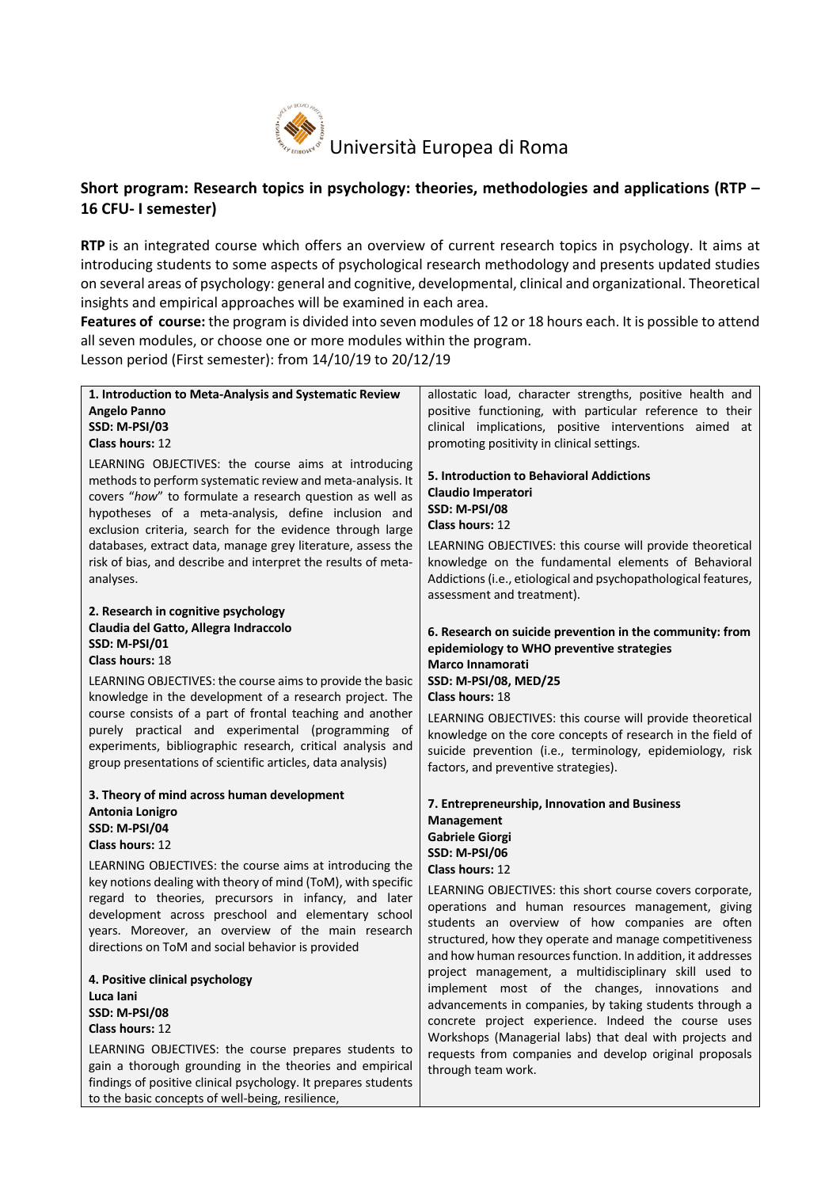

# **Short program: Research topics in psychology: theories, methodologies and applications (RTP – 16 CFU- I semester)**

**RTP** is an integrated course which offers an overview of current research topics in psychology. It aims at introducing students to some aspects of psychological research methodology and presents updated studies on several areas of psychology: general and cognitive, developmental, clinical and organizational. Theoretical insights and empirical approaches will be examined in each area.

**Features of course:** the program is divided into seven modules of 12 or 18 hours each. It is possible to attend all seven modules, or choose one or more modules within the program.

Lesson period (First semester): from 14/10/19 to 20/12/19

| 1. Introduction to Meta-Analysis and Systematic Review                                                                                                                                                                                                                                                                                                                                                                            | allostatic load, character strengths, positive health and                                                                                                                                                                                   |
|-----------------------------------------------------------------------------------------------------------------------------------------------------------------------------------------------------------------------------------------------------------------------------------------------------------------------------------------------------------------------------------------------------------------------------------|---------------------------------------------------------------------------------------------------------------------------------------------------------------------------------------------------------------------------------------------|
| Angelo Panno                                                                                                                                                                                                                                                                                                                                                                                                                      | positive functioning, with particular reference to their                                                                                                                                                                                    |
| <b>SSD: M-PSI/03</b>                                                                                                                                                                                                                                                                                                                                                                                                              | clinical implications, positive interventions aimed at                                                                                                                                                                                      |
| <b>Class hours: 12</b>                                                                                                                                                                                                                                                                                                                                                                                                            | promoting positivity in clinical settings.                                                                                                                                                                                                  |
| LEARNING OBJECTIVES: the course aims at introducing<br>methods to perform systematic review and meta-analysis. It<br>covers "how" to formulate a research question as well as<br>hypotheses of a meta-analysis, define inclusion and<br>exclusion criteria, search for the evidence through large<br>databases, extract data, manage grey literature, assess the<br>risk of bias, and describe and interpret the results of meta- | 5. Introduction to Behavioral Addictions<br><b>Claudio Imperatori</b><br><b>SSD: M-PSI/08</b><br><b>Class hours: 12</b><br>LEARNING OBJECTIVES: this course will provide theoretical<br>knowledge on the fundamental elements of Behavioral |
| analyses.                                                                                                                                                                                                                                                                                                                                                                                                                         | Addictions (i.e., etiological and psychopathological features,                                                                                                                                                                              |
|                                                                                                                                                                                                                                                                                                                                                                                                                                   | assessment and treatment).                                                                                                                                                                                                                  |
| 2. Research in cognitive psychology<br>Claudia del Gatto, Allegra Indraccolo                                                                                                                                                                                                                                                                                                                                                      |                                                                                                                                                                                                                                             |
| <b>SSD: M-PSI/01</b>                                                                                                                                                                                                                                                                                                                                                                                                              | 6. Research on suicide prevention in the community: from                                                                                                                                                                                    |
| Class hours: 18                                                                                                                                                                                                                                                                                                                                                                                                                   | epidemiology to WHO preventive strategies                                                                                                                                                                                                   |
| LEARNING OBJECTIVES: the course aims to provide the basic                                                                                                                                                                                                                                                                                                                                                                         | Marco Innamorati<br>SSD: M-PSI/08, MED/25                                                                                                                                                                                                   |
| knowledge in the development of a research project. The                                                                                                                                                                                                                                                                                                                                                                           | Class hours: 18                                                                                                                                                                                                                             |
| course consists of a part of frontal teaching and another                                                                                                                                                                                                                                                                                                                                                                         |                                                                                                                                                                                                                                             |
| purely practical and experimental (programming of                                                                                                                                                                                                                                                                                                                                                                                 | LEARNING OBJECTIVES: this course will provide theoretical<br>knowledge on the core concepts of research in the field of                                                                                                                     |
| experiments, bibliographic research, critical analysis and                                                                                                                                                                                                                                                                                                                                                                        | suicide prevention (i.e., terminology, epidemiology, risk                                                                                                                                                                                   |
| group presentations of scientific articles, data analysis)                                                                                                                                                                                                                                                                                                                                                                        | factors, and preventive strategies).                                                                                                                                                                                                        |
| 3. Theory of mind across human development                                                                                                                                                                                                                                                                                                                                                                                        |                                                                                                                                                                                                                                             |
| Antonia Lonigro                                                                                                                                                                                                                                                                                                                                                                                                                   | 7. Entrepreneurship, Innovation and Business                                                                                                                                                                                                |
| SSD: M-PSI/04                                                                                                                                                                                                                                                                                                                                                                                                                     | <b>Management</b><br><b>Gabriele Giorgi</b>                                                                                                                                                                                                 |
| <b>Class hours: 12</b>                                                                                                                                                                                                                                                                                                                                                                                                            | <b>SSD: M-PSI/06</b>                                                                                                                                                                                                                        |
| LEARNING OBJECTIVES: the course aims at introducing the                                                                                                                                                                                                                                                                                                                                                                           | Class hours: 12                                                                                                                                                                                                                             |
| key notions dealing with theory of mind (ToM), with specific                                                                                                                                                                                                                                                                                                                                                                      |                                                                                                                                                                                                                                             |
| regard to theories, precursors in infancy, and later                                                                                                                                                                                                                                                                                                                                                                              | LEARNING OBJECTIVES: this short course covers corporate,<br>operations and human resources management, giving                                                                                                                               |
| development across preschool and elementary school                                                                                                                                                                                                                                                                                                                                                                                | students an overview of how companies are often                                                                                                                                                                                             |
| years. Moreover, an overview of the main research                                                                                                                                                                                                                                                                                                                                                                                 | structured, how they operate and manage competitiveness                                                                                                                                                                                     |
| directions on ToM and social behavior is provided                                                                                                                                                                                                                                                                                                                                                                                 | and how human resources function. In addition, it addresses                                                                                                                                                                                 |
| 4. Positive clinical psychology                                                                                                                                                                                                                                                                                                                                                                                                   | project management, a multidisciplinary skill used to                                                                                                                                                                                       |
| Luca Iani                                                                                                                                                                                                                                                                                                                                                                                                                         | implement most of the changes, innovations and                                                                                                                                                                                              |
| SSD: M-PSI/08                                                                                                                                                                                                                                                                                                                                                                                                                     | advancements in companies, by taking students through a                                                                                                                                                                                     |
| Class hours: 12                                                                                                                                                                                                                                                                                                                                                                                                                   | concrete project experience. Indeed the course uses                                                                                                                                                                                         |
| LEARNING OBJECTIVES: the course prepares students to                                                                                                                                                                                                                                                                                                                                                                              | Workshops (Managerial labs) that deal with projects and<br>requests from companies and develop original proposals                                                                                                                           |
| gain a thorough grounding in the theories and empirical                                                                                                                                                                                                                                                                                                                                                                           | through team work.                                                                                                                                                                                                                          |
| findings of positive clinical psychology. It prepares students                                                                                                                                                                                                                                                                                                                                                                    |                                                                                                                                                                                                                                             |
| to the basic concepts of well-being, resilience,                                                                                                                                                                                                                                                                                                                                                                                  |                                                                                                                                                                                                                                             |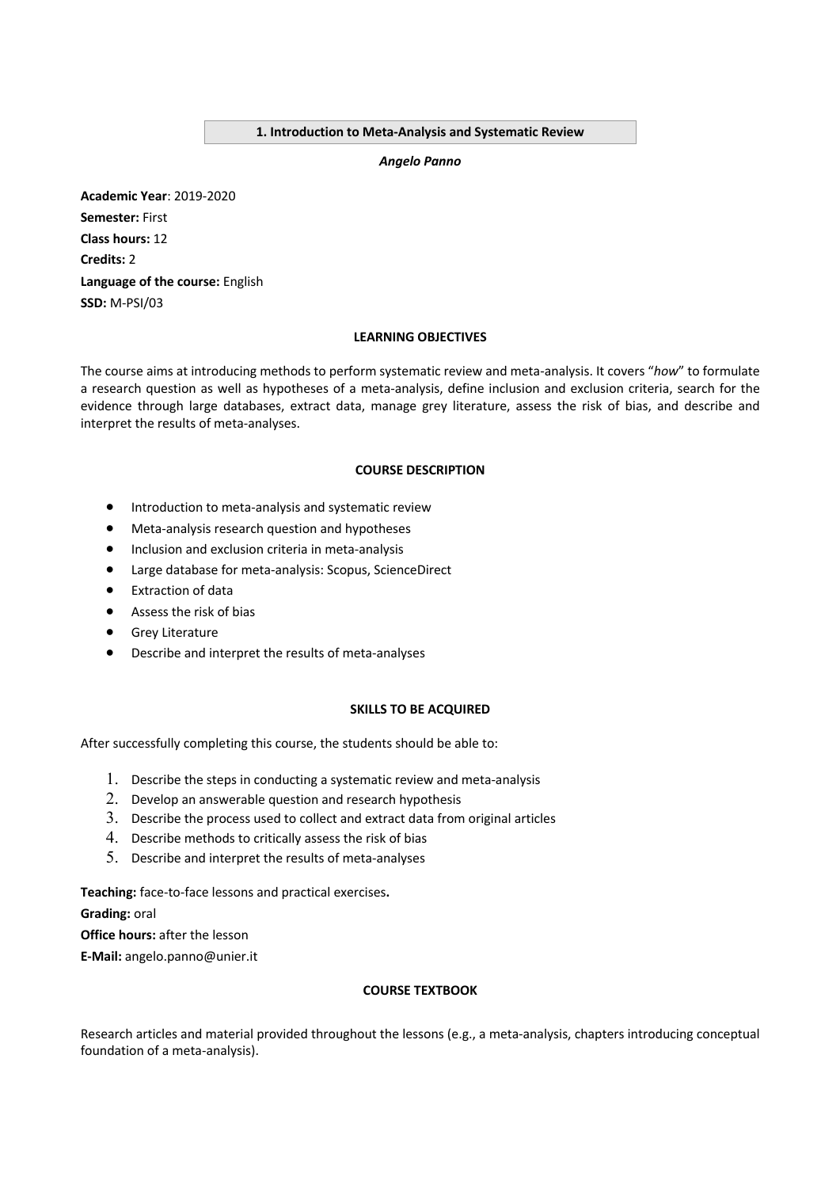#### **1. Introduction to Meta-Analysis and Systematic Review**

*Angelo Panno*

**Academic Year**: 2019-2020 **Semester:** First **Class hours:** 12 **Credits:** 2 **Language of the course:** English **SSD:** M-PSI/03

# **LEARNING OBJECTIVES**

The course aims at introducing methods to perform systematic review and meta-analysis. It covers "*how*" to formulate a research question as well as hypotheses of a meta-analysis, define inclusion and exclusion criteria, search for the evidence through large databases, extract data, manage grey literature, assess the risk of bias, and describe and interpret the results of meta-analyses.

#### **COURSE DESCRIPTION**

- Introduction to meta-analysis and systematic review
- Meta-analysis research question and hypotheses
- Inclusion and exclusion criteria in meta-analysis
- Large database for meta-analysis: Scopus, ScienceDirect
- Extraction of data
- Assess the risk of bias
- Grey Literature
- Describe and interpret the results of meta-analyses

# **SKILLS TO BE ACQUIRED**

After successfully completing this course, the students should be able to:

- 1. Describe the steps in conducting a systematic review and meta-analysis
- 2. Develop an answerable question and research hypothesis
- 3. Describe the process used to collect and extract data from original articles
- 4. Describe methods to critically assess the risk of bias
- 5. Describe and interpret the results of meta-analyses

**Teaching:** face-to-face lessons and practical exercises**.**

**Grading:** oral

**Office hours:** after the lesson

**E-Mail:** angelo.panno@unier.it

# **COURSE TEXTBOOK**

Research articles and material provided throughout the lessons (e.g., a meta-analysis, chapters introducing conceptual foundation of a meta-analysis).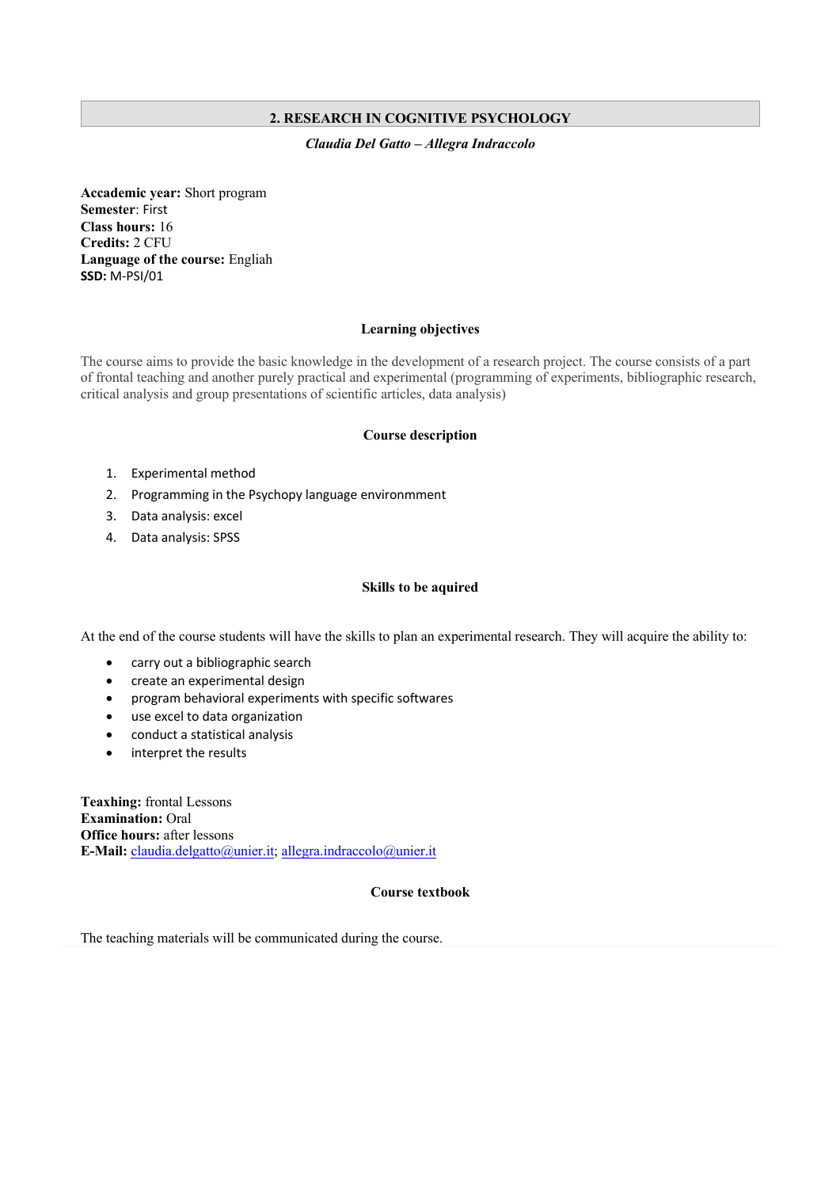# **2. RESEARCH IN COGNITIVE PSYCHOLOGY**

### *Claudia Del Gatto – Allegra Indraccolo*

**Accademic year:** Short program **Semester**: First **Class hours:** 16 **Credits:** 2 CFU **Language of the course:** Engliah **SSD:** M-PSI/01

# **Learning objectives**

The course aims to provide the basic knowledge in the development of a research project. The course consists of a part of frontal teaching and another purely practical and experimental (programming of experiments, bibliographic research, critical analysis and group presentations of scientific articles, data analysis)

#### **Course description**

- 1. Experimental method
- 2. Programming in the Psychopy language environmment
- 3. Data analysis: excel
- 4. Data analysis: SPSS

#### **Skills to be aquired**

At the end of the course students will have the skills to plan an experimental research. They will acquire the ability to:

- carry out a bibliographic search
- create an experimental design
- program behavioral experiments with specific softwares
- use excel to data organization
- conduct a statistical analysis
- interpret the results

**Teaxhing:** frontal Lessons **Examination:** Oral **Office hours:** after lessons **E-Mail:** claudia.delgatto@unier.it; allegra.indraccolo@unier.it

# **Course textbook**

The teaching materials will be communicated during the course.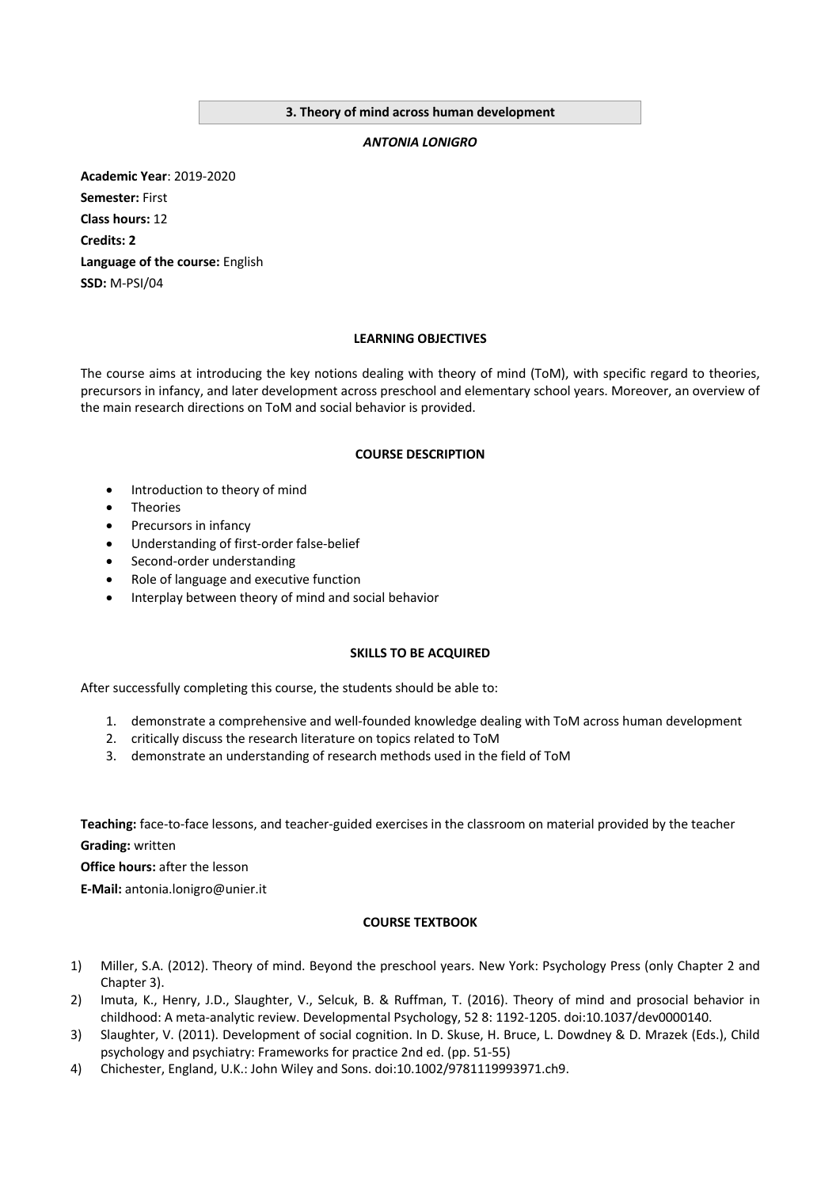#### **3. Theory of mind across human development**

#### *ANTONIA LONIGRO*

**Academic Year**: 2019-2020 **Semester:** First **Class hours:** 12 **Credits: 2 Language of the course:** English **SSD:** M-PSI/04

#### **LEARNING OBJECTIVES**

The course aims at introducing the key notions dealing with theory of mind (ToM), with specific regard to theories, precursors in infancy, and later development across preschool and elementary school years. Moreover, an overview of the main research directions on ToM and social behavior is provided.

#### **COURSE DESCRIPTION**

- Introduction to theory of mind
- **Theories**
- Precursors in infancy
- Understanding of first-order false-belief
- Second-order understanding
- Role of language and executive function
- Interplay between theory of mind and social behavior

# **SKILLS TO BE ACQUIRED**

After successfully completing this course, the students should be able to:

- 1. demonstrate a comprehensive and well-founded knowledge dealing with ToM across human development
- 2. critically discuss the research literature on topics related to ToM
- 3. demonstrate an understanding of research methods used in the field of ToM

**Teaching:** face-to-face lessons, and teacher-guided exercises in the classroom on material provided by the teacher **Grading:** written

**Office hours:** after the lesson

**E-Mail:** antonia.lonigro@unier.it

# **COURSE TEXTBOOK**

- 1) Miller, S.A. (2012). Theory of mind. Beyond the preschool years. New York: Psychology Press (only Chapter 2 and Chapter 3).
- 2) Imuta, K., Henry, J.D., Slaughter, V., Selcuk, B. & Ruffman, T. (2016). Theory of mind and prosocial behavior in childhood: A meta-analytic review. Developmental Psychology, 52 8: 1192-1205. doi:10.1037/dev0000140.
- 3) Slaughter, V. (2011). Development of social cognition. In D. Skuse, H. Bruce, L. Dowdney & D. Mrazek (Eds.), Child psychology and psychiatry: Frameworks for practice 2nd ed. (pp. 51-55)
- 4) Chichester, England, U.K.: John Wiley and Sons. doi:10.1002/9781119993971.ch9.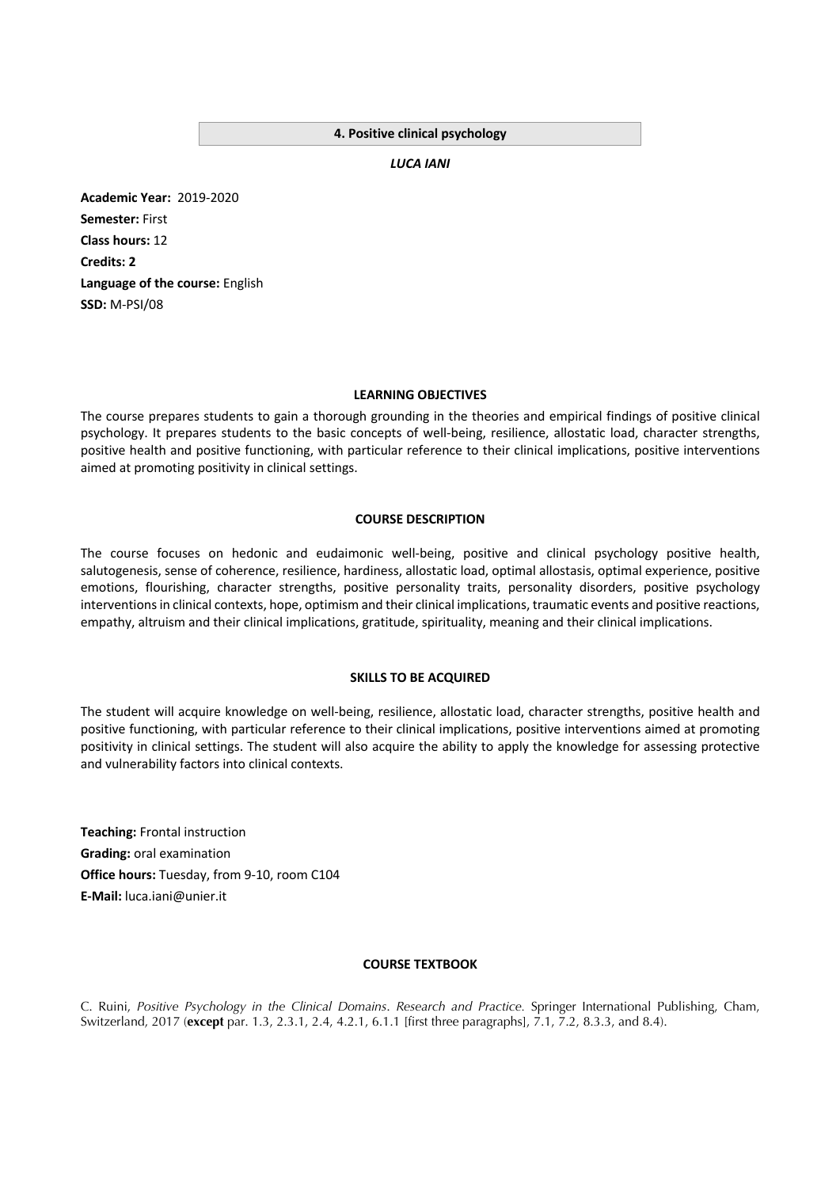#### **4. Positive clinical psychology**

*LUCA IANI*

**Academic Year:** 2019-2020 **Semester:** First **Class hours:** 12 **Credits: 2 Language of the course:** English **SSD:** M-PSI/08

#### **LEARNING OBJECTIVES**

The course prepares students to gain a thorough grounding in the theories and empirical findings of positive clinical psychology. It prepares students to the basic concepts of well-being, resilience, allostatic load, character strengths, positive health and positive functioning, with particular reference to their clinical implications, positive interventions aimed at promoting positivity in clinical settings.

#### **COURSE DESCRIPTION**

The course focuses on hedonic and eudaimonic well-being, positive and clinical psychology positive health, salutogenesis, sense of coherence, resilience, hardiness, allostatic load, optimal allostasis, optimal experience, positive emotions, flourishing, character strengths, positive personality traits, personality disorders, positive psychology interventions in clinical contexts, hope, optimism and their clinical implications, traumatic events and positive reactions, empathy, altruism and their clinical implications, gratitude, spirituality, meaning and their clinical implications.

#### **SKILLS TO BE ACQUIRED**

The student will acquire knowledge on well-being, resilience, allostatic load, character strengths, positive health and positive functioning, with particular reference to their clinical implications, positive interventions aimed at promoting positivity in clinical settings. The student will also acquire the ability to apply the knowledge for assessing protective and vulnerability factors into clinical contexts.

**Teaching:** Frontal instruction **Grading:** oral examination **Office hours:** Tuesday, from 9-10, room C104 **E-Mail:** luca.iani@unier.it

# **COURSE TEXTBOOK**

C. Ruini, *Positive Psychology in the Clinical Domains*. *Research and Practice.* Springer International Publishing, Cham, Switzerland, 2017 (**except** par. 1.3, 2.3.1, 2.4, 4.2.1, 6.1.1 [first three paragraphs], 7.1, 7.2, 8.3.3, and 8.4).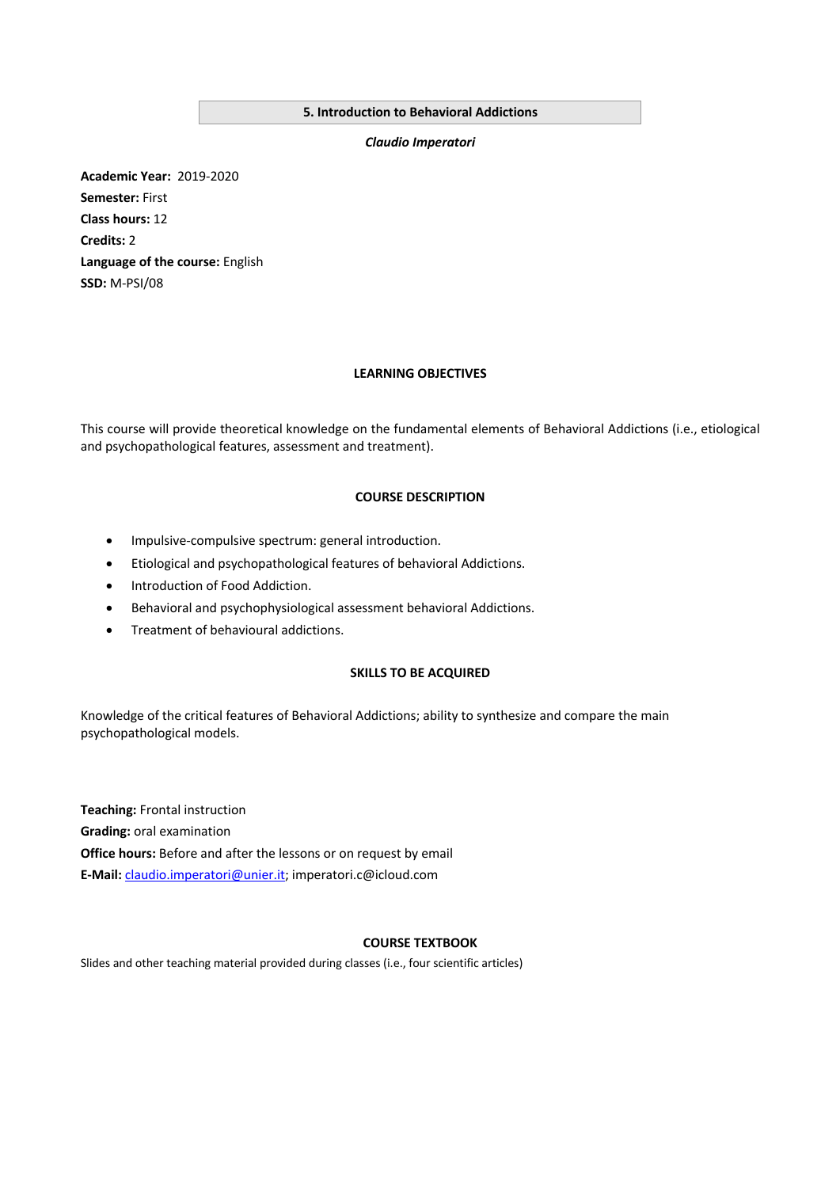# **5. Introduction to Behavioral Addictions**

*Claudio Imperatori*

**Academic Year:** 2019-2020 **Semester:** First **Class hours:** 12 **Credits:** 2 **Language of the course:** English **SSD:** M-PSI/08

#### **LEARNING OBJECTIVES**

This course will provide theoretical knowledge on the fundamental elements of Behavioral Addictions (i.e., etiological and psychopathological features, assessment and treatment).

# **COURSE DESCRIPTION**

- Impulsive-compulsive spectrum: general introduction.
- Etiological and psychopathological features of behavioral Addictions.
- Introduction of Food Addiction.
- Behavioral and psychophysiological assessment behavioral Addictions.
- Treatment of behavioural addictions.

# **SKILLS TO BE ACQUIRED**

Knowledge of the critical features of Behavioral Addictions; ability to synthesize and compare the main psychopathological models.

**Teaching:** Frontal instruction **Grading:** oral examination **Office hours:** Before and after the lessons or on request by email **E-Mail:** claudio.imperatori@unier.it; imperatori.c@icloud.com

# **COURSE TEXTBOOK**

Slides and other teaching material provided during classes (i.e., four scientific articles)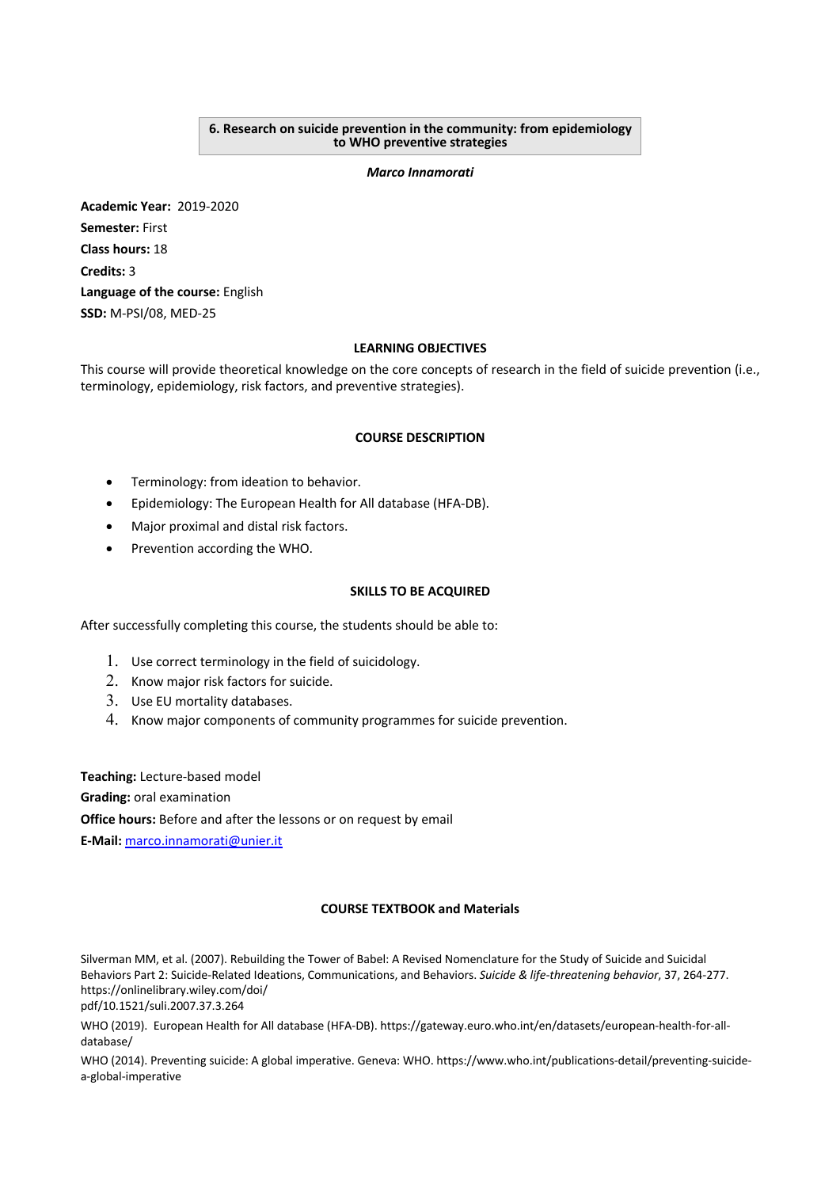#### **6. Research on suicide prevention in the community: from epidemiology to WHO preventive strategies**

#### *Marco Innamorati*

**Academic Year:** 2019-2020 **Semester:** First **Class hours:** 18 **Credits:** 3 **Language of the course:** English **SSD:** M-PSI/08, MED-25

# **LEARNING OBJECTIVES**

This course will provide theoretical knowledge on the core concepts of research in the field of suicide prevention (i.e., terminology, epidemiology, risk factors, and preventive strategies).

# **COURSE DESCRIPTION**

- Terminology: from ideation to behavior.
- Epidemiology: The European Health for All database (HFA-DB).
- Major proximal and distal risk factors.
- Prevention according the WHO.

# **SKILLS TO BE ACQUIRED**

After successfully completing this course, the students should be able to:

- 1. Use correct terminology in the field of suicidology.
- 2. Know major risk factors for suicide.
- 3. Use EU mortality databases.
- 4. Know major components of community programmes for suicide prevention.

**Teaching:** Lecture-based model **Grading:** oral examination **Office hours:** Before and after the lessons or on request by email **E-Mail:** marco.innamorati@unier.it

# **COURSE TEXTBOOK and Materials**

Silverman MM, et al. (2007). Rebuilding the Tower of Babel: A Revised Nomenclature for the Study of Suicide and Suicidal Behaviors Part 2: Suicide-Related Ideations, Communications, and Behaviors. *Suicide & life-threatening behavior*, 37, 264-277. https://onlinelibrary.wiley.com/doi/ pdf/10.1521/suli.2007.37.3.264

WHO (2019). European Health for All database (HFA-DB). https://gateway.euro.who.int/en/datasets/european-health-for-alldatabase/

WHO (2014). Preventing suicide: A global imperative. Geneva: WHO. https://www.who.int/publications-detail/preventing-suicidea-global-imperative